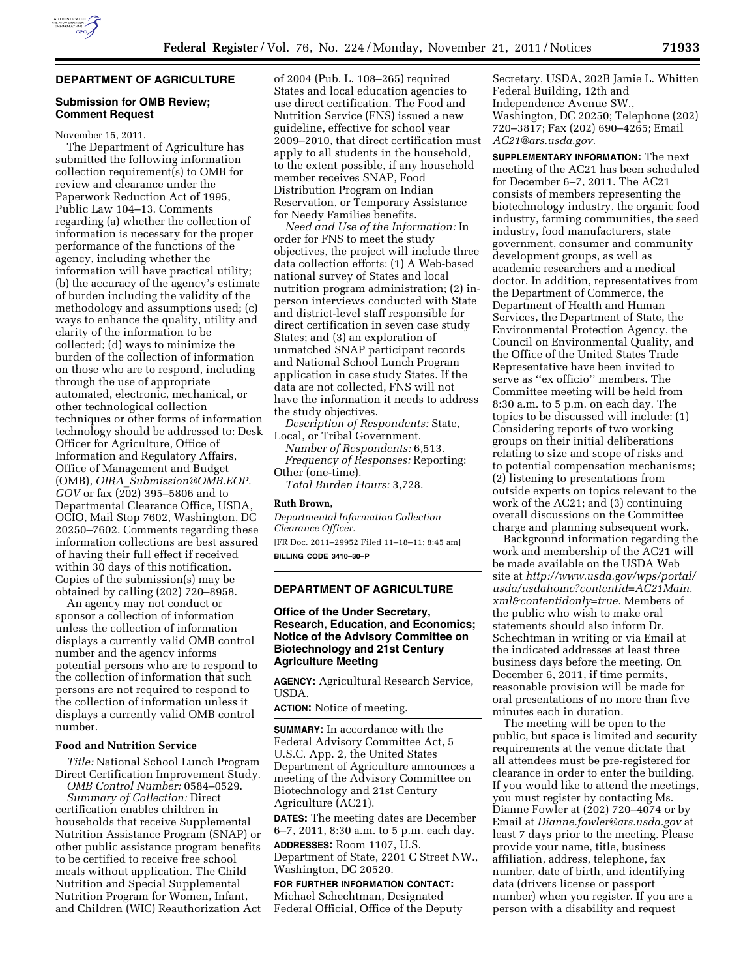

# **DEPARTMENT OF AGRICULTURE**

#### **Submission for OMB Review; Comment Request**

November 15, 2011.

The Department of Agriculture has submitted the following information collection requirement(s) to OMB for review and clearance under the Paperwork Reduction Act of 1995, Public Law 104–13. Comments regarding (a) whether the collection of information is necessary for the proper performance of the functions of the agency, including whether the information will have practical utility; (b) the accuracy of the agency's estimate of burden including the validity of the methodology and assumptions used; (c) ways to enhance the quality, utility and clarity of the information to be collected; (d) ways to minimize the burden of the collection of information on those who are to respond, including through the use of appropriate automated, electronic, mechanical, or other technological collection techniques or other forms of information technology should be addressed to: Desk Officer for Agriculture, Office of Information and Regulatory Affairs, Office of Management and Budget (OMB), *OIRA*\_*[Submission@OMB.EOP.](mailto:OIRA_Submission@OMB.EOP) GOV* or fax (202) 395–5806 and to Departmental Clearance Office, USDA, OCIO, Mail Stop 7602, Washington, DC 20250–7602. Comments regarding these information collections are best assured of having their full effect if received within 30 days of this notification. Copies of the submission(s) may be obtained by calling (202) 720–8958.

An agency may not conduct or sponsor a collection of information unless the collection of information displays a currently valid OMB control number and the agency informs potential persons who are to respond to the collection of information that such persons are not required to respond to the collection of information unless it displays a currently valid OMB control number.

### **Food and Nutrition Service**

*Title:* National School Lunch Program Direct Certification Improvement Study.

*OMB Control Number:* 0584–0529. *Summary of Collection:* Direct certification enables children in households that receive Supplemental Nutrition Assistance Program (SNAP) or other public assistance program benefits to be certified to receive free school meals without application. The Child Nutrition and Special Supplemental Nutrition Program for Women, Infant, and Children (WIC) Reauthorization Act of 2004 (Pub. L. 108–265) required States and local education agencies to use direct certification. The Food and Nutrition Service (FNS) issued a new guideline, effective for school year 2009–2010, that direct certification must apply to all students in the household, to the extent possible, if any household member receives SNAP, Food Distribution Program on Indian Reservation, or Temporary Assistance for Needy Families benefits.

*Need and Use of the Information:* In order for FNS to meet the study objectives, the project will include three data collection efforts: (1) A Web-based national survey of States and local nutrition program administration; (2) inperson interviews conducted with State and district-level staff responsible for direct certification in seven case study States; and (3) an exploration of unmatched SNAP participant records and National School Lunch Program application in case study States. If the data are not collected, FNS will not have the information it needs to address the study objectives.

*Description of Respondents:* State, Local, or Tribal Government.

*Number of Respondents:* 6,513. *Frequency of Responses:* Reporting: Other (one-time).

*Total Burden Hours:* 3,728.

#### **Ruth Brown,**

*Departmental Information Collection Clearance Officer.*  [FR Doc. 2011–29952 Filed 11–18–11; 8:45 am] **BILLING CODE 3410–30–P** 

## **DEPARTMENT OF AGRICULTURE**

### **Office of the Under Secretary, Research, Education, and Economics; Notice of the Advisory Committee on Biotechnology and 21st Century Agriculture Meeting**

**AGENCY:** Agricultural Research Service, USDA.

**ACTION:** Notice of meeting.

**SUMMARY:** In accordance with the Federal Advisory Committee Act, 5 U.S.C. App. 2, the United States Department of Agriculture announces a meeting of the Advisory Committee on Biotechnology and 21st Century Agriculture (AC21).

**DATES:** The meeting dates are December 6–7, 2011, 8:30 a.m. to 5 p.m. each day.

**ADDRESSES:** Room 1107, U.S. Department of State, 2201 C Street NW., Washington, DC 20520.

**FOR FURTHER INFORMATION CONTACT:**  Michael Schechtman, Designated Federal Official, Office of the Deputy

Secretary, USDA, 202B Jamie L. Whitten Federal Building, 12th and Independence Avenue SW., Washington, DC 20250; Telephone (202) 720–3817; Fax (202) 690–4265; Email *[AC21@ars.usda.gov.](mailto:AC21@ars.usda.gov)* 

**SUPPLEMENTARY INFORMATION:** The next meeting of the AC21 has been scheduled for December 6–7, 2011. The AC21 consists of members representing the biotechnology industry, the organic food industry, farming communities, the seed industry, food manufacturers, state government, consumer and community development groups, as well as academic researchers and a medical doctor. In addition, representatives from the Department of Commerce, the Department of Health and Human Services, the Department of State, the Environmental Protection Agency, the Council on Environmental Quality, and the Office of the United States Trade Representative have been invited to serve as ''ex officio'' members. The Committee meeting will be held from 8:30 a.m. to 5 p.m. on each day. The topics to be discussed will include: (1) Considering reports of two working groups on their initial deliberations relating to size and scope of risks and to potential compensation mechanisms; (2) listening to presentations from outside experts on topics relevant to the work of the AC21; and (3) continuing overall discussions on the Committee charge and planning subsequent work.

Background information regarding the work and membership of the AC21 will be made available on the USDA Web site at *[http://www.usda.gov/wps/portal/](http://www.usda.gov/wps/portal/usda/usdahome?contentid=AC21Main.xml&contentidonly=true)  [usda/usdahome?contentid=AC21Main.](http://www.usda.gov/wps/portal/usda/usdahome?contentid=AC21Main.xml&contentidonly=true) [xml&contentidonly=true.](http://www.usda.gov/wps/portal/usda/usdahome?contentid=AC21Main.xml&contentidonly=true)* Members of the public who wish to make oral statements should also inform Dr. Schechtman in writing or via Email at the indicated addresses at least three business days before the meeting. On December 6, 2011, if time permits, reasonable provision will be made for oral presentations of no more than five minutes each in duration.

The meeting will be open to the public, but space is limited and security requirements at the venue dictate that all attendees must be pre-registered for clearance in order to enter the building. If you would like to attend the meetings, you must register by contacting Ms. Dianne Fowler at (202) 720–4074 or by Email at *[Dianne.fowler@ars.usda.gov](mailto:Dianne.fowler@ars.usda.gov)* at least 7 days prior to the meeting. Please provide your name, title, business affiliation, address, telephone, fax number, date of birth, and identifying data (drivers license or passport number) when you register. If you are a person with a disability and request